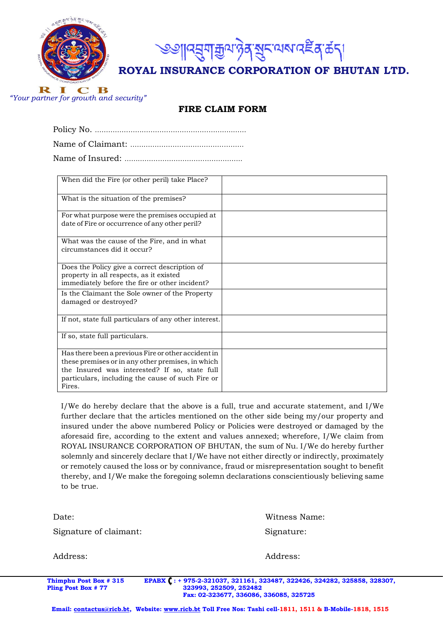



**ROYAL INSURANCE CORPORATION OF BHUTAN LTD.**

B R **The Second Second Second**  $\mathbf C$ *"Your partner for growth and security"* 

## **FIRE CLAIM FORM**

| When did the Fire (or other peril) take Place?                                                                                                                                                                          |  |
|-------------------------------------------------------------------------------------------------------------------------------------------------------------------------------------------------------------------------|--|
| What is the situation of the premises?                                                                                                                                                                                  |  |
| For what purpose were the premises occupied at<br>date of Fire or occurrence of any other peril?                                                                                                                        |  |
| What was the cause of the Fire, and in what<br>circumstances did it occur?                                                                                                                                              |  |
| Does the Policy give a correct description of<br>property in all respects, as it existed<br>immediately before the fire or other incident?                                                                              |  |
| Is the Claimant the Sole owner of the Property<br>damaged or destroyed?                                                                                                                                                 |  |
| If not, state full particulars of any other interest.                                                                                                                                                                   |  |
| If so, state full particulars.                                                                                                                                                                                          |  |
| Has there been a previous Fire or other accident in<br>these premises or in any other premises, in which<br>the Insured was interested? If so, state full<br>particulars, including the cause of such Fire or<br>Fires. |  |

I/We do hereby declare that the above is a full, true and accurate statement, and I/We further declare that the articles mentioned on the other side being my/our property and insured under the above numbered Policy or Policies were destroyed or damaged by the aforesaid fire, according to the extent and values annexed; wherefore, I/We claim from ROYAL INSURANCE CORPORATION OF BHUTAN, the sum of Nu. I/We do hereby further solemnly and sincerely declare that I/We have not either directly or indirectly, proximately or remotely caused the loss or by connivance, fraud or misrepresentation sought to benefit thereby, and I/We make the foregoing solemn declarations conscientiously believing same to be true.

| Date:                  | Witness Name: |
|------------------------|---------------|
| Signature of claimant: | Signature:    |
| Address:               | Address:      |

**Thimphu Post Box # 315** EPABX  $($ : + 975-2-321037, 321161, 323487, 322426, 324282, 325858, 328307, <br>**Pling Post Box # 77** 323993, 252509, 252509, 252482  **Pling Post Box # 77 323993, 252509, 252482 Fax: 02-323677, 336086, 336085, 325725**